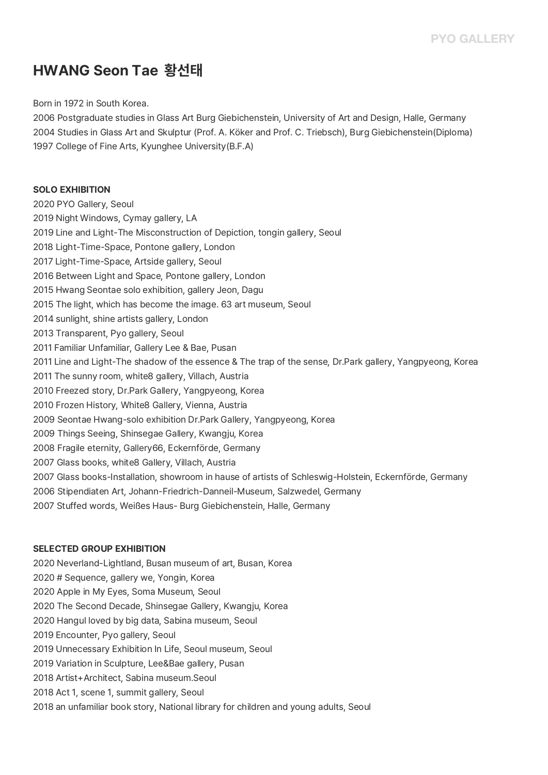## **HWANG Seon Tae 황선태**

Born in 1972 in South Korea.

2006 Postgraduate studies in Glass Art Burg Giebichenstein, University of Art and Design, Halle, Germany 2004 Studies in Glass Art and Skulptur (Prof. A. Köker and Prof. C. Triebsch), Burg Giebichenstein(Diploma) 1997 College of Fine Arts, Kyunghee University(B.F.A)

## **SOLO EXHIBITION** 2020 PYO Gallery, Seoul 2019 Night Windows, Cymay gallery, LA 2019 Line and Light-The Misconstruction of Depiction, tongin gallery, Seoul 2018 Light-Time-Space, Pontone gallery, London 2017 Light-Time-Space, Artside gallery, Seoul 2016 Between Light and Space, Pontone gallery, London 2015 Hwang Seontae solo exhibition, gallery Jeon, Dagu 2015 The light, which has become the image. 63 art museum, Seoul 2014 sunlight, shine artists gallery, London 2013 Transparent, Pyo gallery, Seoul 2011 Familiar Unfamiliar, Gallery Lee & Bae, Pusan 2011 Line and Light-The shadow of the essence & The trap of the sense, Dr.Park gallery, Yangpyeong, Korea 2011 The sunny room, white8 gallery, Villach, Austria 2010 Freezed story, Dr.Park Gallery, Yangpyeong, Korea 2010 Frozen History, White8 Gallery, Vienna, Austria 2009 Seontae Hwang-solo exhibition Dr.Park Gallery, Yangpyeong, Korea 2009 Things Seeing, Shinsegae Gallery, Kwangju, Korea 2008 Fragile eternity, Gallery66, Eckernförde, Germany 2007 Glass books, white8 Gallery, Villach, Austria 2007 Glass books-Installation, showroom in hause of artists of Schleswig-Holstein, Eckernförde, Germany 2006 Stipendiaten Art, Johann-Friedrich-Danneil-Museum, Salzwedel, Germany 2007 Stuffed words, Weißes Haus- Burg Giebichenstein, Halle, Germany

## **SELECTED GROUP EXHIBITION**

- 2020 Neverland-Lightland, Busan museum of art, Busan, Korea
- 2020 # Sequence, gallery we, Yongin, Korea
- 2020 Apple in My Eyes, Soma Museum, Seoul
- 2020 The Second Decade, Shinsegae Gallery, Kwangju, Korea
- 2020 Hangul loved by big data, Sabina museum, Seoul
- 2019 Encounter, Pyo gallery, Seoul
- 2019 Unnecessary Exhibition In Life, Seoul museum, Seoul
- 2019 Variation in Sculpture, Lee&Bae gallery, Pusan
- 2018 Artist+Architect, Sabina museum.Seoul
- 2018 Act 1, scene 1, summit gallery, Seoul
- 2018 an unfamiliar book story, National library for children and young adults, Seoul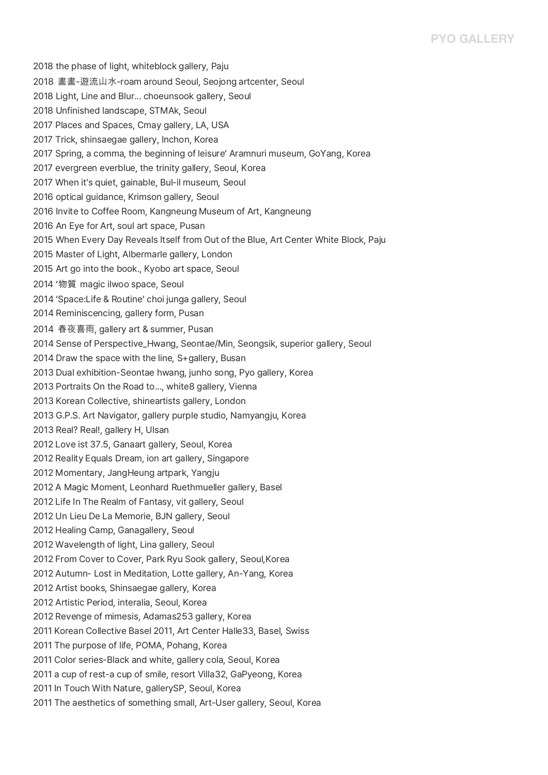## **PYO GALLERY**

2018 the phase of light, whiteblock gallery, Paju 2018 畵畵-遊流山水-roam around Seoul, Seojong artcenter, Seoul 2018 Light, Line and Blur... choeunsook gallery, Seoul 2018 Unfinished landscape, STMAk, Seoul 2017 Places and Spaces, Cmay gallery, LA, USA 2017 Trick, shinsaegae gallery, Inchon, Korea 2017 Spring, a comma, the beginning of leisure' Aramnuri museum, GoYang, Korea 2017 evergreen everblue, the trinity gallery, Seoul, Korea 2017 When it's quiet, gainable, Bul-il museum, Seoul 2016 optical guidance, Krimson gallery, Seoul 2016 Invite to Coffee Room, Kangneung Museum of Art, Kangneung 2016 An Eye for Art, soul art space, Pusan 2015 When Every Day Reveals Itself from Out of the Blue, Art Center White Block, Paju 2015 Master of Light, Albermarle gallery, London 2015 Art go into the book., Kyobo art space, Seoul 2014 '物質 magic ilwoo space, Seoul 2014 'Space:Life & Routine' choi junga gallery, Seoul 2014 Reminiscencing, gallery form, Pusan 2014 春夜喜雨, gallery art & summer, Pusan 2014 Sense of Perspective\_Hwang, Seontae/Min, Seongsik, superior gallery, Seoul 2014 Draw the space with the line, S+gallery, Busan 2013 Dual exhibition-Seontae hwang, junho song, Pyo gallery, Korea 2013 Portraits On the Road to..., white8 gallery, Vienna 2013 Korean Collective, shineartists gallery, London 2013 G.P.S. Art Navigator, gallery purple studio, Namyangju, Korea 2013 Real? Real!, gallery H, Ulsan 2012 Love ist 37.5, Ganaart gallery, Seoul, Korea 2012 Reality Equals Dream, ion art gallery, Singapore 2012 Momentary, JangHeung artpark, Yangju 2012 A Magic Moment, Leonhard Ruethmueller gallery, Basel 2012 Life In The Realm of Fantasy, vit gallery, Seoul 2012 Un Lieu De La Memorie, BJN gallery, Seoul 2012 Healing Camp, Ganagallery, Seoul 2012 Wavelength of light, Lina gallery, Seoul 2012 From Cover to Cover, Park Ryu Sook gallery, Seoul,Korea 2012 Autumn- Lost in Meditation, Lotte gallery, An-Yang, Korea 2012 Artist books, Shinsaegae gallery, Korea 2012 Artistic Period, interalia, Seoul, Korea 2012 Revenge of mimesis, Adamas253 gallery, Korea 2011 Korean Collective Basel 2011, Art Center Halle33, Basel, Swiss 2011 The purpose of life, POMA, Pohang, Korea 2011 Color series-Black and white, gallery cola, Seoul, Korea 2011 a cup of rest-a cup of smile, resort Villa32, GaPyeong, Korea 2011 In Touch With Nature, gallerySP, Seoul, Korea 2011 The aesthetics of something small, Art-User gallery, Seoul, Korea